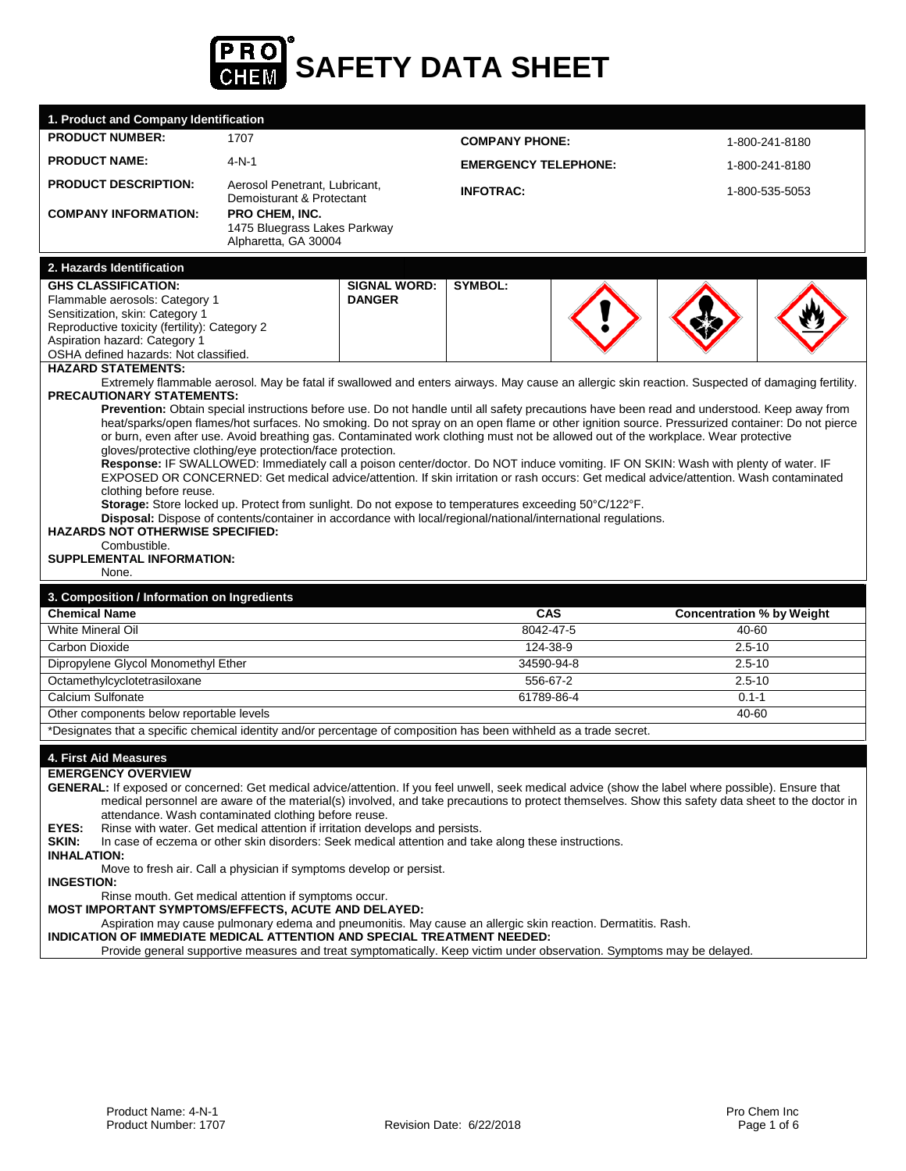

| <b>PRODUCT NUMBER:</b><br>1707<br><b>COMPANY PHONE:</b><br>1-800-241-8180<br><b>PRODUCT NAME:</b><br>$4-N-1$<br><b>EMERGENCY TELEPHONE:</b><br>1-800-241-8180<br><b>PRODUCT DESCRIPTION:</b><br>Aerosol Penetrant, Lubricant,<br><b>INFOTRAC:</b><br>1-800-535-5053<br>Demoisturant & Protectant<br><b>COMPANY INFORMATION:</b><br><b>PRO CHEM. INC.</b><br>1475 Bluegrass Lakes Parkway<br>Alpharetta, GA 30004<br>2. Hazards Identification<br><b>GHS CLASSIFICATION:</b><br><b>SIGNAL WORD:</b><br><b>SYMBOL:</b><br><b>DANGER</b><br>Flammable aerosols: Category 1<br>Sensitization, skin: Category 1<br>Reproductive toxicity (fertility): Category 2<br>Aspiration hazard: Category 1<br>OSHA defined hazards: Not classified.<br><b>HAZARD STATEMENTS:</b><br>Extremely flammable aerosol. May be fatal if swallowed and enters airways. May cause an allergic skin reaction. Suspected of damaging fertility.<br>PRECAUTIONARY STATEMENTS:<br>or burn, even after use. Avoid breathing gas. Contaminated work clothing must not be allowed out of the workplace. Wear protective<br>gloves/protective clothing/eye protection/face protection.<br>Response: IF SWALLOWED: Immediately call a poison center/doctor. Do NOT induce vomiting. IF ON SKIN: Wash with plenty of water. IF<br>EXPOSED OR CONCERNED: Get medical advice/attention. If skin irritation or rash occurs: Get medical advice/attention. Wash contaminated<br>clothing before reuse.<br>Storage: Store locked up. Protect from sunlight. Do not expose to temperatures exceeding 50°C/122°F.<br>Disposal: Dispose of contents/container in accordance with local/regional/national/international regulations.<br><b>HAZARDS NOT OTHERWISE SPECIFIED:</b><br>Combustible.<br><b>SUPPLEMENTAL INFORMATION:</b><br>None.<br>3. Composition / Information on Ingredients<br><b>Chemical Name</b><br><b>Concentration % by Weight</b><br><b>CAS</b><br>8042-47-5<br>White Mineral Oil<br>40-60<br>124-38-9<br>$2.5 - 10$<br>Carbon Dioxide<br>Dipropylene Glycol Monomethyl Ether<br>34590-94-8<br>$2.5 - 10$<br>Octamethylcyclotetrasiloxane<br>556-67-2<br>$2.5 - 10$<br>Calcium Sulfonate<br>61789-86-4<br>$0.1 - 1$<br>Other components below reportable levels<br>40-60<br>*Designates that a specific chemical identity and/or percentage of composition has been withheld as a trade secret.<br>4. First Aid Measures<br><b>EMERGENCY OVERVIEW</b><br>GENERAL: If exposed or concerned: Get medical advice/attention. If you feel unwell, seek medical advice (show the label where possible). Ensure that<br>medical personnel are aware of the material(s) involved, and take precautions to protect themselves. Show this safety data sheet to the doctor in<br>attendance. Wash contaminated clothing before reuse.<br>EYES:<br>Rinse with water. Get medical attention if irritation develops and persists.<br>SKIN:<br>In case of eczema or other skin disorders: Seek medical attention and take along these instructions.<br><b>INHALATION:</b><br>Move to fresh air. Call a physician if symptoms develop or persist.<br><b>INGESTION:</b><br>Rinse mouth. Get medical attention if symptoms occur.<br>MOST IMPORTANT SYMPTOMS/EFFECTS, ACUTE AND DELAYED:<br>Aspiration may cause pulmonary edema and pneumonitis. May cause an allergic skin reaction. Dermatitis. Rash.<br>INDICATION OF IMMEDIATE MEDICAL ATTENTION AND SPECIAL TREATMENT NEEDED: | 1. Product and Company Identification                                                                                                                                                                                                                                                          |  |  |  |  |  |
|-----------------------------------------------------------------------------------------------------------------------------------------------------------------------------------------------------------------------------------------------------------------------------------------------------------------------------------------------------------------------------------------------------------------------------------------------------------------------------------------------------------------------------------------------------------------------------------------------------------------------------------------------------------------------------------------------------------------------------------------------------------------------------------------------------------------------------------------------------------------------------------------------------------------------------------------------------------------------------------------------------------------------------------------------------------------------------------------------------------------------------------------------------------------------------------------------------------------------------------------------------------------------------------------------------------------------------------------------------------------------------------------------------------------------------------------------------------------------------------------------------------------------------------------------------------------------------------------------------------------------------------------------------------------------------------------------------------------------------------------------------------------------------------------------------------------------------------------------------------------------------------------------------------------------------------------------------------------------------------------------------------------------------------------------------------------------------------------------------------------------------------------------------------------------------------------------------------------------------------------------------------------------------------------------------------------------------------------------------------------------------------------------------------------------------------------------------------------------------------------------------------------------------------------------------------------------------------------------------------------------------------------------------------------------------------------------------------------------------------------------------------------------------------------------------------------------------------------------------------------------------------------------------------------------------------------------------------------------------------------------------------------------------------------------------------------------------------------------------------------------------------------------------------------------------------------------------------------------------------------------------------------------------------------------------------------------------------------------------------------------------------------------------------------------------------------------|------------------------------------------------------------------------------------------------------------------------------------------------------------------------------------------------------------------------------------------------------------------------------------------------|--|--|--|--|--|
|                                                                                                                                                                                                                                                                                                                                                                                                                                                                                                                                                                                                                                                                                                                                                                                                                                                                                                                                                                                                                                                                                                                                                                                                                                                                                                                                                                                                                                                                                                                                                                                                                                                                                                                                                                                                                                                                                                                                                                                                                                                                                                                                                                                                                                                                                                                                                                                                                                                                                                                                                                                                                                                                                                                                                                                                                                                                                                                                                                                                                                                                                                                                                                                                                                                                                                                                                                                                                                               |                                                                                                                                                                                                                                                                                                |  |  |  |  |  |
|                                                                                                                                                                                                                                                                                                                                                                                                                                                                                                                                                                                                                                                                                                                                                                                                                                                                                                                                                                                                                                                                                                                                                                                                                                                                                                                                                                                                                                                                                                                                                                                                                                                                                                                                                                                                                                                                                                                                                                                                                                                                                                                                                                                                                                                                                                                                                                                                                                                                                                                                                                                                                                                                                                                                                                                                                                                                                                                                                                                                                                                                                                                                                                                                                                                                                                                                                                                                                                               |                                                                                                                                                                                                                                                                                                |  |  |  |  |  |
|                                                                                                                                                                                                                                                                                                                                                                                                                                                                                                                                                                                                                                                                                                                                                                                                                                                                                                                                                                                                                                                                                                                                                                                                                                                                                                                                                                                                                                                                                                                                                                                                                                                                                                                                                                                                                                                                                                                                                                                                                                                                                                                                                                                                                                                                                                                                                                                                                                                                                                                                                                                                                                                                                                                                                                                                                                                                                                                                                                                                                                                                                                                                                                                                                                                                                                                                                                                                                                               |                                                                                                                                                                                                                                                                                                |  |  |  |  |  |
|                                                                                                                                                                                                                                                                                                                                                                                                                                                                                                                                                                                                                                                                                                                                                                                                                                                                                                                                                                                                                                                                                                                                                                                                                                                                                                                                                                                                                                                                                                                                                                                                                                                                                                                                                                                                                                                                                                                                                                                                                                                                                                                                                                                                                                                                                                                                                                                                                                                                                                                                                                                                                                                                                                                                                                                                                                                                                                                                                                                                                                                                                                                                                                                                                                                                                                                                                                                                                                               |                                                                                                                                                                                                                                                                                                |  |  |  |  |  |
|                                                                                                                                                                                                                                                                                                                                                                                                                                                                                                                                                                                                                                                                                                                                                                                                                                                                                                                                                                                                                                                                                                                                                                                                                                                                                                                                                                                                                                                                                                                                                                                                                                                                                                                                                                                                                                                                                                                                                                                                                                                                                                                                                                                                                                                                                                                                                                                                                                                                                                                                                                                                                                                                                                                                                                                                                                                                                                                                                                                                                                                                                                                                                                                                                                                                                                                                                                                                                                               |                                                                                                                                                                                                                                                                                                |  |  |  |  |  |
|                                                                                                                                                                                                                                                                                                                                                                                                                                                                                                                                                                                                                                                                                                                                                                                                                                                                                                                                                                                                                                                                                                                                                                                                                                                                                                                                                                                                                                                                                                                                                                                                                                                                                                                                                                                                                                                                                                                                                                                                                                                                                                                                                                                                                                                                                                                                                                                                                                                                                                                                                                                                                                                                                                                                                                                                                                                                                                                                                                                                                                                                                                                                                                                                                                                                                                                                                                                                                                               |                                                                                                                                                                                                                                                                                                |  |  |  |  |  |
|                                                                                                                                                                                                                                                                                                                                                                                                                                                                                                                                                                                                                                                                                                                                                                                                                                                                                                                                                                                                                                                                                                                                                                                                                                                                                                                                                                                                                                                                                                                                                                                                                                                                                                                                                                                                                                                                                                                                                                                                                                                                                                                                                                                                                                                                                                                                                                                                                                                                                                                                                                                                                                                                                                                                                                                                                                                                                                                                                                                                                                                                                                                                                                                                                                                                                                                                                                                                                                               |                                                                                                                                                                                                                                                                                                |  |  |  |  |  |
|                                                                                                                                                                                                                                                                                                                                                                                                                                                                                                                                                                                                                                                                                                                                                                                                                                                                                                                                                                                                                                                                                                                                                                                                                                                                                                                                                                                                                                                                                                                                                                                                                                                                                                                                                                                                                                                                                                                                                                                                                                                                                                                                                                                                                                                                                                                                                                                                                                                                                                                                                                                                                                                                                                                                                                                                                                                                                                                                                                                                                                                                                                                                                                                                                                                                                                                                                                                                                                               | Prevention: Obtain special instructions before use. Do not handle until all safety precautions have been read and understood. Keep away from<br>heat/sparks/open flames/hot surfaces. No smoking. Do not spray on an open flame or other ignition source. Pressurized container: Do not pierce |  |  |  |  |  |
|                                                                                                                                                                                                                                                                                                                                                                                                                                                                                                                                                                                                                                                                                                                                                                                                                                                                                                                                                                                                                                                                                                                                                                                                                                                                                                                                                                                                                                                                                                                                                                                                                                                                                                                                                                                                                                                                                                                                                                                                                                                                                                                                                                                                                                                                                                                                                                                                                                                                                                                                                                                                                                                                                                                                                                                                                                                                                                                                                                                                                                                                                                                                                                                                                                                                                                                                                                                                                                               |                                                                                                                                                                                                                                                                                                |  |  |  |  |  |
|                                                                                                                                                                                                                                                                                                                                                                                                                                                                                                                                                                                                                                                                                                                                                                                                                                                                                                                                                                                                                                                                                                                                                                                                                                                                                                                                                                                                                                                                                                                                                                                                                                                                                                                                                                                                                                                                                                                                                                                                                                                                                                                                                                                                                                                                                                                                                                                                                                                                                                                                                                                                                                                                                                                                                                                                                                                                                                                                                                                                                                                                                                                                                                                                                                                                                                                                                                                                                                               |                                                                                                                                                                                                                                                                                                |  |  |  |  |  |
|                                                                                                                                                                                                                                                                                                                                                                                                                                                                                                                                                                                                                                                                                                                                                                                                                                                                                                                                                                                                                                                                                                                                                                                                                                                                                                                                                                                                                                                                                                                                                                                                                                                                                                                                                                                                                                                                                                                                                                                                                                                                                                                                                                                                                                                                                                                                                                                                                                                                                                                                                                                                                                                                                                                                                                                                                                                                                                                                                                                                                                                                                                                                                                                                                                                                                                                                                                                                                                               |                                                                                                                                                                                                                                                                                                |  |  |  |  |  |
|                                                                                                                                                                                                                                                                                                                                                                                                                                                                                                                                                                                                                                                                                                                                                                                                                                                                                                                                                                                                                                                                                                                                                                                                                                                                                                                                                                                                                                                                                                                                                                                                                                                                                                                                                                                                                                                                                                                                                                                                                                                                                                                                                                                                                                                                                                                                                                                                                                                                                                                                                                                                                                                                                                                                                                                                                                                                                                                                                                                                                                                                                                                                                                                                                                                                                                                                                                                                                                               |                                                                                                                                                                                                                                                                                                |  |  |  |  |  |
|                                                                                                                                                                                                                                                                                                                                                                                                                                                                                                                                                                                                                                                                                                                                                                                                                                                                                                                                                                                                                                                                                                                                                                                                                                                                                                                                                                                                                                                                                                                                                                                                                                                                                                                                                                                                                                                                                                                                                                                                                                                                                                                                                                                                                                                                                                                                                                                                                                                                                                                                                                                                                                                                                                                                                                                                                                                                                                                                                                                                                                                                                                                                                                                                                                                                                                                                                                                                                                               |                                                                                                                                                                                                                                                                                                |  |  |  |  |  |
|                                                                                                                                                                                                                                                                                                                                                                                                                                                                                                                                                                                                                                                                                                                                                                                                                                                                                                                                                                                                                                                                                                                                                                                                                                                                                                                                                                                                                                                                                                                                                                                                                                                                                                                                                                                                                                                                                                                                                                                                                                                                                                                                                                                                                                                                                                                                                                                                                                                                                                                                                                                                                                                                                                                                                                                                                                                                                                                                                                                                                                                                                                                                                                                                                                                                                                                                                                                                                                               |                                                                                                                                                                                                                                                                                                |  |  |  |  |  |
|                                                                                                                                                                                                                                                                                                                                                                                                                                                                                                                                                                                                                                                                                                                                                                                                                                                                                                                                                                                                                                                                                                                                                                                                                                                                                                                                                                                                                                                                                                                                                                                                                                                                                                                                                                                                                                                                                                                                                                                                                                                                                                                                                                                                                                                                                                                                                                                                                                                                                                                                                                                                                                                                                                                                                                                                                                                                                                                                                                                                                                                                                                                                                                                                                                                                                                                                                                                                                                               |                                                                                                                                                                                                                                                                                                |  |  |  |  |  |
|                                                                                                                                                                                                                                                                                                                                                                                                                                                                                                                                                                                                                                                                                                                                                                                                                                                                                                                                                                                                                                                                                                                                                                                                                                                                                                                                                                                                                                                                                                                                                                                                                                                                                                                                                                                                                                                                                                                                                                                                                                                                                                                                                                                                                                                                                                                                                                                                                                                                                                                                                                                                                                                                                                                                                                                                                                                                                                                                                                                                                                                                                                                                                                                                                                                                                                                                                                                                                                               |                                                                                                                                                                                                                                                                                                |  |  |  |  |  |
|                                                                                                                                                                                                                                                                                                                                                                                                                                                                                                                                                                                                                                                                                                                                                                                                                                                                                                                                                                                                                                                                                                                                                                                                                                                                                                                                                                                                                                                                                                                                                                                                                                                                                                                                                                                                                                                                                                                                                                                                                                                                                                                                                                                                                                                                                                                                                                                                                                                                                                                                                                                                                                                                                                                                                                                                                                                                                                                                                                                                                                                                                                                                                                                                                                                                                                                                                                                                                                               |                                                                                                                                                                                                                                                                                                |  |  |  |  |  |
|                                                                                                                                                                                                                                                                                                                                                                                                                                                                                                                                                                                                                                                                                                                                                                                                                                                                                                                                                                                                                                                                                                                                                                                                                                                                                                                                                                                                                                                                                                                                                                                                                                                                                                                                                                                                                                                                                                                                                                                                                                                                                                                                                                                                                                                                                                                                                                                                                                                                                                                                                                                                                                                                                                                                                                                                                                                                                                                                                                                                                                                                                                                                                                                                                                                                                                                                                                                                                                               |                                                                                                                                                                                                                                                                                                |  |  |  |  |  |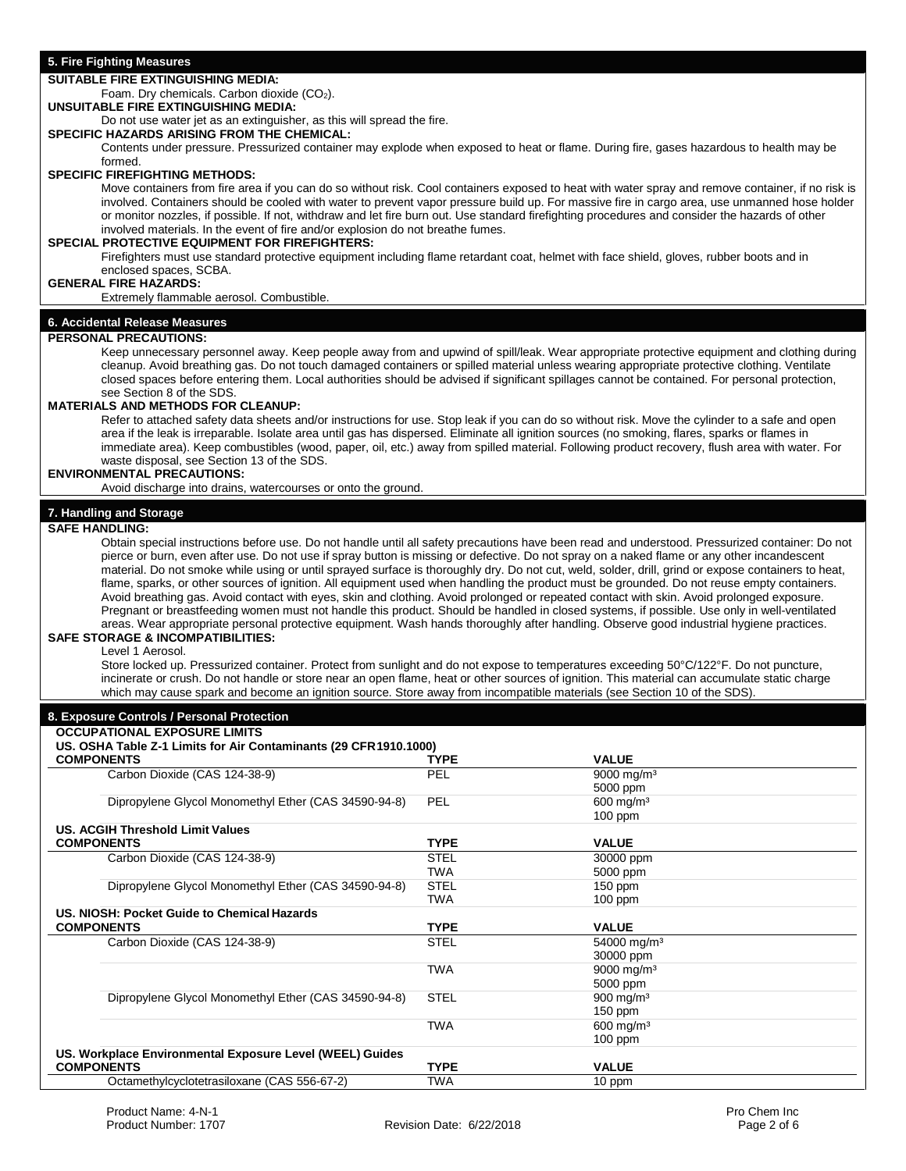## **5. Fire Fighting Measures**

# **SUITABLE FIRE EXTINGUISHING MEDIA:**

Foam. Dry chemicals. Carbon dioxide  $(CO<sub>2</sub>)$ .

# **UNSUITABLE FIRE EXTINGUISHING MEDIA:**

Do not use water jet as an extinguisher, as this will spread the fire.

# **SPECIFIC HAZARDS ARISING FROM THE CHEMICAL:**

Contents under pressure. Pressurized container may explode when exposed to heat or flame. During fire, gases hazardous to health may be formed.

# **SPECIFIC FIREFIGHTING METHODS:**

Move containers from fire area if you can do so without risk. Cool containers exposed to heat with water spray and remove container, if no risk is involved. Containers should be cooled with water to prevent vapor pressure build up. For massive fire in cargo area, use unmanned hose holder or monitor nozzles, if possible. If not, withdraw and let fire burn out. Use standard firefighting procedures and consider the hazards of other involved materials. In the event of fire and/or explosion do not breathe fumes.

#### **SPECIAL PROTECTIVE EQUIPMENT FOR FIREFIGHTERS:**

Firefighters must use standard protective equipment including flame retardant coat, helmet with face shield, gloves, rubber boots and in enclosed spaces, SCBA.

## **GENERAL FIRE HAZARDS:**

Extremely flammable aerosol. Combustible.

# **6. Accidental Release Measures**

#### **PERSONAL PRECAUTIONS:**

Keep unnecessary personnel away. Keep people away from and upwind of spill/leak. Wear appropriate protective equipment and clothing during cleanup. Avoid breathing gas. Do not touch damaged containers or spilled material unless wearing appropriate protective clothing. Ventilate closed spaces before entering them. Local authorities should be advised if significant spillages cannot be contained. For personal protection, see Section 8 of the SDS.

### **MATERIALS AND METHODS FOR CLEANUP:**

Refer to attached safety data sheets and/or instructions for use. Stop leak if you can do so without risk. Move the cylinder to a safe and open area if the leak is irreparable. Isolate area until gas has dispersed. Eliminate all ignition sources (no smoking, flares, sparks or flames in immediate area). Keep combustibles (wood, paper, oil, etc.) away from spilled material. Following product recovery, flush area with water. For waste disposal, see Section 13 of the SDS.

# **ENVIRONMENTAL PRECAUTIONS:**

Avoid discharge into drains, watercourses or onto the ground.

# **7. Handling and Storage**

### **SAFE HANDLING:**

Obtain special instructions before use. Do not handle until all safety precautions have been read and understood. Pressurized container: Do not pierce or burn, even after use. Do not use if spray button is missing or defective. Do not spray on a naked flame or any other incandescent material. Do not smoke while using or until sprayed surface is thoroughly dry. Do not cut, weld, solder, drill, grind or expose containers to heat, flame, sparks, or other sources of ignition. All equipment used when handling the product must be grounded. Do not reuse empty containers. Avoid breathing gas. Avoid contact with eyes, skin and clothing. Avoid prolonged or repeated contact with skin. Avoid prolonged exposure. Pregnant or breastfeeding women must not handle this product. Should be handled in closed systems, if possible. Use only in well-ventilated areas. Wear appropriate personal protective equipment. Wash hands thoroughly after handling. Observe good industrial hygiene practices. **SAFE STORAGE & INCOMPATIBILITIES:** 

# Level 1 Aerosol.

Store locked up. Pressurized container. Protect from sunlight and do not expose to temperatures exceeding 50°C/122°F. Do not puncture, incinerate or crush. Do not handle or store near an open flame, heat or other sources of ignition. This material can accumulate static charge which may cause spark and become an ignition source. Store away from incompatible materials (see Section 10 of the SDS).

#### **8. Exposure Controls / Personal Protection OCCUPATIONAL EXPOSURE LIMITS US. OSHA Table Z-1 Limits for Air Contaminants (29 CFR1910.1000) COMPONENTS**<br>
Carbon Dioxide (CAS 124-38-9) **TYPE** PEL 9000 mg/m<sup>3</sup> Carbon Dioxide (CAS 124-38-9) 5000 ppm Dipropylene Glycol Monomethyl Ether (CAS 34590-94-8) PEL 600 mg/m<sup>3</sup> 100 ppm **US. ACGIH Threshold Limit Values COMPONENTS TYPE VALUE** Carbon Dioxide (CAS 124-38-9) STEL 30000 ppm<br>TWA 5000 ppm 5000 ppm Dipropylene Glycol Monomethyl Ether (CAS 34590-94-8) STEL 150 ppm<br>TWA 100 ppm 100 ppm **US. NIOSH: Pocket Guide to Chemical Hazards**

| <b>COMPONENTS</b>                                        |                                                      | <b>TYPE</b> | <b>VALUE</b>              |
|----------------------------------------------------------|------------------------------------------------------|-------------|---------------------------|
|                                                          | Carbon Dioxide (CAS 124-38-9)                        | <b>STEL</b> | 54000 mg/m <sup>3</sup>   |
|                                                          |                                                      |             | 30000 ppm                 |
|                                                          |                                                      | <b>TWA</b>  | $9000 \,\mathrm{mag/m^3}$ |
|                                                          |                                                      |             | 5000 ppm                  |
|                                                          | Dipropylene Glycol Monomethyl Ether (CAS 34590-94-8) | <b>STEL</b> | $900 \text{ mg/m}^3$      |
|                                                          |                                                      |             | $150$ ppm                 |
|                                                          |                                                      | <b>TWA</b>  | $600$ mg/m <sup>3</sup>   |
|                                                          |                                                      |             | $100$ ppm                 |
| US. Workplace Environmental Exposure Level (WEEL) Guides |                                                      |             |                           |
| <b>COMPONENTS</b>                                        |                                                      | <b>TYPE</b> | <b>VALUE</b>              |
|                                                          | Octamethylcyclotetrasiloxane (CAS 556-67-2)          | TWA         | 10 ppm                    |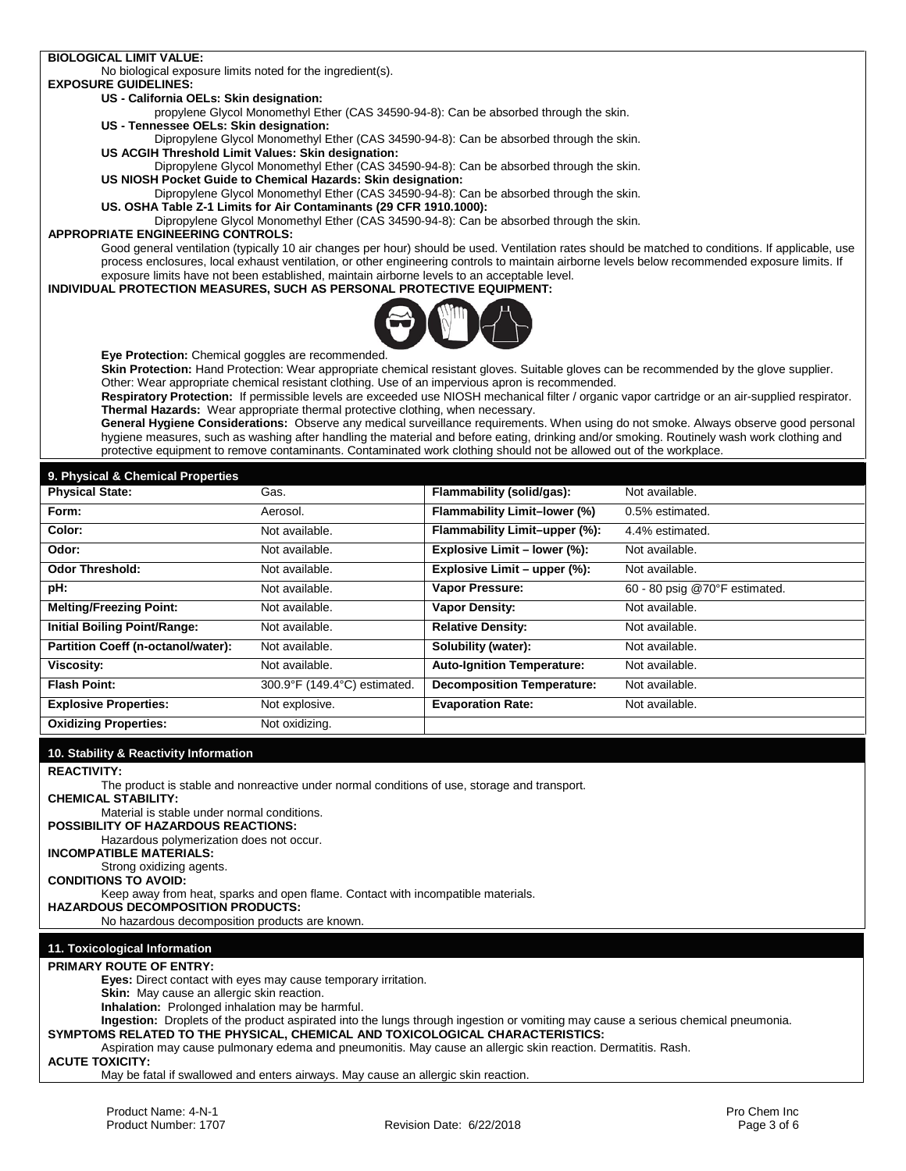## **BIOLOGICAL LIMIT VALUE:**

No biological exposure limits noted for the ingredient(s).

#### **EXPOSURE GUIDELINES: US - California OELs: Skin designation:**

propylene Glycol Monomethyl Ether (CAS 34590-94-8): Can be absorbed through the skin.

**US - Tennessee OELs: Skin designation:**

Dipropylene Glycol Monomethyl Ether (CAS 34590-94-8): Can be absorbed through the skin. **US ACGIH Threshold Limit Values: Skin designation:**

Dipropylene Glycol Monomethyl Ether (CAS 34590-94-8): Can be absorbed through the skin. **US NIOSH Pocket Guide to Chemical Hazards: Skin designation:**

Dipropylene Glycol Monomethyl Ether (CAS 34590-94-8): Can be absorbed through the skin.

**US. OSHA Table Z-1 Limits for Air Contaminants (29 CFR 1910.1000):**

Dipropylene Glycol Monomethyl Ether (CAS 34590-94-8): Can be absorbed through the skin.

# **APPROPRIATE ENGINEERING CONTROLS:**

Good general ventilation (typically 10 air changes per hour) should be used. Ventilation rates should be matched to conditions. If applicable, use process enclosures, local exhaust ventilation, or other engineering controls to maintain airborne levels below recommended exposure limits. If exposure limits have not been established, maintain airborne levels to an acceptable level.

### **INDIVIDUAL PROTECTION MEASURES, SUCH AS PERSONAL PROTECTIVE EQUIPMENT:**



**Eye Protection:** Chemical goggles are recommended.

**Skin Protection:** Hand Protection: Wear appropriate chemical resistant gloves. Suitable gloves can be recommended by the glove supplier. Other: Wear appropriate chemical resistant clothing. Use of an impervious apron is recommended.

**Respiratory Protection:** If permissible levels are exceeded use NIOSH mechanical filter / organic vapor cartridge or an air-supplied respirator. **Thermal Hazards:** Wear appropriate thermal protective clothing, when necessary.

**General Hygiene Considerations:** Observe any medical surveillance requirements. When using do not smoke. Always observe good personal hygiene measures, such as washing after handling the material and before eating, drinking and/or smoking. Routinely wash work clothing and protective equipment to remove contaminants. Contaminated work clothing should not be allowed out of the workplace.

## **9. Physical & Chemical Properties**

| <b>Physical State:</b>                    | Gas.                         | Flammability (solid/gas):         | Not available.                |
|-------------------------------------------|------------------------------|-----------------------------------|-------------------------------|
| Form:                                     | Aerosol.                     | Flammability Limit-lower (%)      | 0.5% estimated.               |
| Color:                                    | Not available.               | Flammability Limit-upper (%):     | 4.4% estimated.               |
| Odor:                                     | Not available.               | Explosive Limit - lower (%):      | Not available.                |
| <b>Odor Threshold:</b>                    | Not available.               | Explosive Limit - upper (%):      | Not available.                |
| pH:                                       | Not available.               | <b>Vapor Pressure:</b>            | 60 - 80 psig @70°F estimated. |
| <b>Melting/Freezing Point:</b>            | Not available.               | <b>Vapor Density:</b>             | Not available.                |
| <b>Initial Boiling Point/Range:</b>       | Not available.               | <b>Relative Density:</b>          | Not available.                |
| <b>Partition Coeff (n-octanol/water):</b> | Not available.               | Solubility (water):               | Not available.                |
| Viscosity:                                | Not available.               | <b>Auto-Ignition Temperature:</b> | Not available.                |
| <b>Flash Point:</b>                       | 300.9°F (149.4°C) estimated. | <b>Decomposition Temperature:</b> | Not available.                |
| <b>Explosive Properties:</b>              | Not explosive.               | <b>Evaporation Rate:</b>          | Not available.                |
| <b>Oxidizing Properties:</b>              | Not oxidizing.               |                                   |                               |

## **10. Stability & Reactivity Information**

#### **REACTIVITY:**

The product is stable and nonreactive under normal conditions of use, storage and transport.

**CHEMICAL STABILITY:** 

Material is stable under normal conditions.

**POSSIBILITY OF HAZARDOUS REACTIONS:**  Hazardous polymerization does not occur.

**INCOMPATIBLE MATERIALS:**

Strong oxidizing agents.

**CONDITIONS TO AVOID:** 

Keep away from heat, sparks and open flame. Contact with incompatible materials.

**HAZARDOUS DECOMPOSITION PRODUCTS:**

No hazardous decomposition products are known.

## **11. Toxicological Information**

**PRIMARY ROUTE OF ENTRY:**

**Eyes:** Direct contact with eyes may cause temporary irritation.

**Skin:** May cause an allergic skin reaction.

**Inhalation:** Prolonged inhalation may be harmful.

**Ingestion:** Droplets of the product aspirated into the lungs through ingestion or vomiting may cause a serious chemical pneumonia. **SYMPTOMS RELATED TO THE PHYSICAL, CHEMICAL AND TOXICOLOGICAL CHARACTERISTICS:**

Aspiration may cause pulmonary edema and pneumonitis. May cause an allergic skin reaction. Dermatitis. Rash.

**ACUTE TOXICITY:**

May be fatal if swallowed and enters airways. May cause an allergic skin reaction.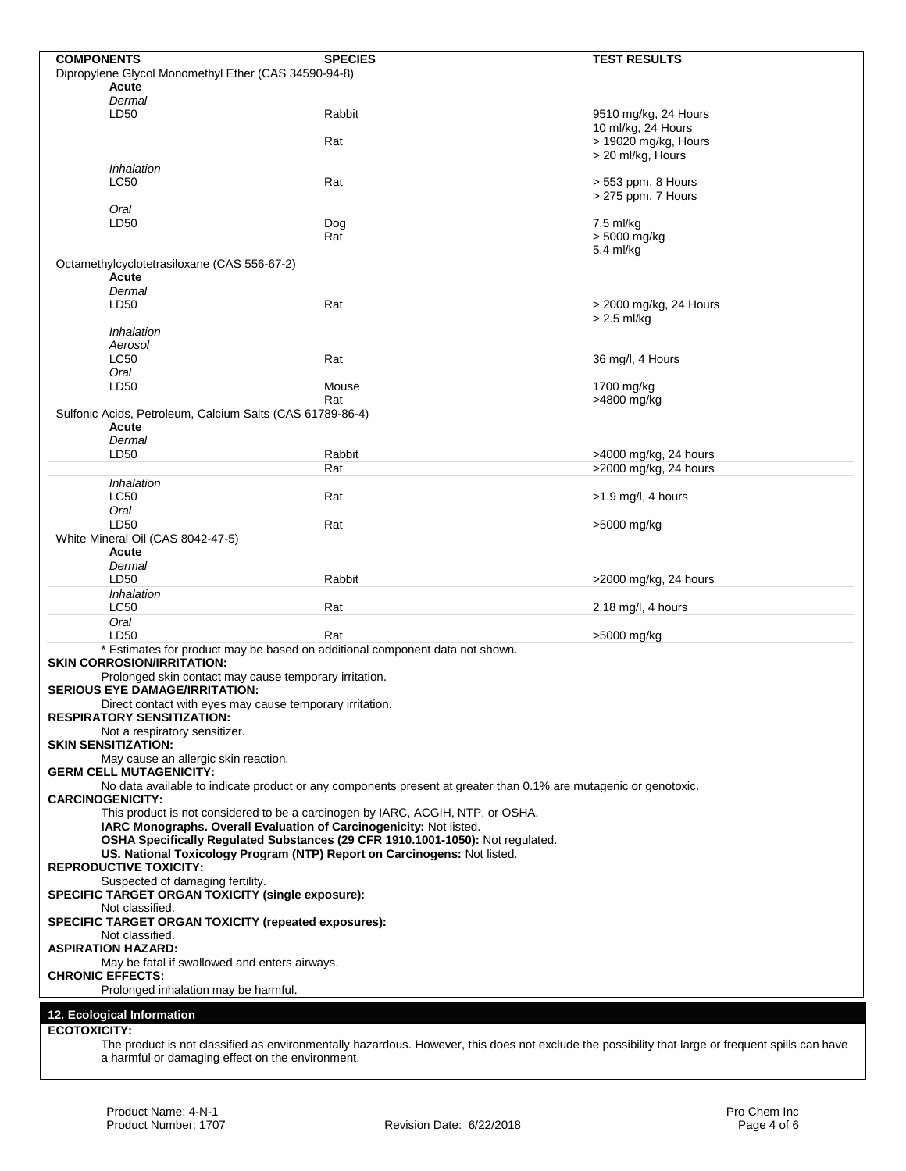| <b>COMPONENTS</b>                                                                                         | <b>SPECIES</b>                                                                                                                                    | <b>TEST RESULTS</b>                       |  |
|-----------------------------------------------------------------------------------------------------------|---------------------------------------------------------------------------------------------------------------------------------------------------|-------------------------------------------|--|
| Dipropylene Glycol Monomethyl Ether (CAS 34590-94-8)                                                      |                                                                                                                                                   |                                           |  |
| Acute                                                                                                     |                                                                                                                                                   |                                           |  |
| Dermal                                                                                                    |                                                                                                                                                   |                                           |  |
| LD50                                                                                                      | Rabbit                                                                                                                                            | 9510 mg/kg, 24 Hours                      |  |
|                                                                                                           |                                                                                                                                                   | 10 ml/kg, 24 Hours                        |  |
|                                                                                                           | Rat                                                                                                                                               | > 19020 mg/kg, Hours<br>> 20 ml/kg, Hours |  |
| Inhalation                                                                                                |                                                                                                                                                   |                                           |  |
| <b>LC50</b>                                                                                               | Rat                                                                                                                                               | > 553 ppm, 8 Hours                        |  |
|                                                                                                           |                                                                                                                                                   | > 275 ppm, 7 Hours                        |  |
| Oral                                                                                                      |                                                                                                                                                   |                                           |  |
| LD50                                                                                                      | Dog                                                                                                                                               | 7.5 ml/kg                                 |  |
|                                                                                                           | Rat                                                                                                                                               | > 5000 mg/kg                              |  |
|                                                                                                           |                                                                                                                                                   | 5.4 ml/kg                                 |  |
| Octamethylcyclotetrasiloxane (CAS 556-67-2)                                                               |                                                                                                                                                   |                                           |  |
| Acute<br>Dermal                                                                                           |                                                                                                                                                   |                                           |  |
| LD50                                                                                                      | Rat                                                                                                                                               | > 2000 mg/kg, 24 Hours                    |  |
|                                                                                                           |                                                                                                                                                   | > 2.5 ml/kg                               |  |
| Inhalation                                                                                                |                                                                                                                                                   |                                           |  |
| Aerosol                                                                                                   |                                                                                                                                                   |                                           |  |
| LC50                                                                                                      | Rat                                                                                                                                               | 36 mg/l, 4 Hours                          |  |
| Oral                                                                                                      |                                                                                                                                                   |                                           |  |
| LD50                                                                                                      | Mouse                                                                                                                                             | 1700 mg/kg                                |  |
|                                                                                                           | Rat                                                                                                                                               | >4800 mg/kg                               |  |
| Sulfonic Acids, Petroleum, Calcium Salts (CAS 61789-86-4)                                                 |                                                                                                                                                   |                                           |  |
| Acute                                                                                                     |                                                                                                                                                   |                                           |  |
| Dermal                                                                                                    |                                                                                                                                                   |                                           |  |
| LD50                                                                                                      | Rabbit                                                                                                                                            | >4000 mg/kg, 24 hours                     |  |
|                                                                                                           | Rat                                                                                                                                               | >2000 mg/kg, 24 hours                     |  |
| Inhalation<br><b>LC50</b>                                                                                 | Rat                                                                                                                                               |                                           |  |
| Oral                                                                                                      |                                                                                                                                                   | $>1.9$ mg/l, 4 hours                      |  |
| LD50                                                                                                      | Rat                                                                                                                                               | >5000 mg/kg                               |  |
| White Mineral Oil (CAS 8042-47-5)                                                                         |                                                                                                                                                   |                                           |  |
| Acute                                                                                                     |                                                                                                                                                   |                                           |  |
| Dermal                                                                                                    |                                                                                                                                                   |                                           |  |
| LD50                                                                                                      | Rabbit                                                                                                                                            | >2000 mg/kg, 24 hours                     |  |
| Inhalation                                                                                                |                                                                                                                                                   |                                           |  |
| <b>LC50</b>                                                                                               | Rat                                                                                                                                               | 2.18 mg/l, 4 hours                        |  |
| Oral                                                                                                      |                                                                                                                                                   |                                           |  |
| LD50                                                                                                      | Rat                                                                                                                                               | >5000 mg/kg                               |  |
| * Estimates for product may be based on additional component data not shown.                              |                                                                                                                                                   |                                           |  |
| <b>SKIN CORROSION/IRRITATION:</b>                                                                         |                                                                                                                                                   |                                           |  |
| Prolonged skin contact may cause temporary irritation.                                                    |                                                                                                                                                   |                                           |  |
| <b>SERIOUS EYE DAMAGE/IRRITATION:</b>                                                                     |                                                                                                                                                   |                                           |  |
| Direct contact with eyes may cause temporary irritation.<br><b>RESPIRATORY SENSITIZATION:</b>             |                                                                                                                                                   |                                           |  |
| Not a respiratory sensitizer.                                                                             |                                                                                                                                                   |                                           |  |
| <b>SKIN SENSITIZATION:</b>                                                                                |                                                                                                                                                   |                                           |  |
| May cause an allergic skin reaction.                                                                      |                                                                                                                                                   |                                           |  |
| <b>GERM CELL MUTAGENICITY:</b>                                                                            |                                                                                                                                                   |                                           |  |
|                                                                                                           | No data available to indicate product or any components present at greater than 0.1% are mutagenic or genotoxic.                                  |                                           |  |
| <b>CARCINOGENICITY:</b>                                                                                   |                                                                                                                                                   |                                           |  |
| This product is not considered to be a carcinogen by IARC, ACGIH, NTP, or OSHA.                           |                                                                                                                                                   |                                           |  |
| IARC Monographs. Overall Evaluation of Carcinogenicity: Not listed.                                       |                                                                                                                                                   |                                           |  |
| OSHA Specifically Regulated Substances (29 CFR 1910.1001-1050): Not regulated.                            |                                                                                                                                                   |                                           |  |
| US. National Toxicology Program (NTP) Report on Carcinogens: Not listed.<br><b>REPRODUCTIVE TOXICITY:</b> |                                                                                                                                                   |                                           |  |
| Suspected of damaging fertility.                                                                          |                                                                                                                                                   |                                           |  |
| SPECIFIC TARGET ORGAN TOXICITY (single exposure):                                                         |                                                                                                                                                   |                                           |  |
| Not classified.                                                                                           |                                                                                                                                                   |                                           |  |
| <b>SPECIFIC TARGET ORGAN TOXICITY (repeated exposures):</b>                                               |                                                                                                                                                   |                                           |  |
| Not classified.                                                                                           |                                                                                                                                                   |                                           |  |
| <b>ASPIRATION HAZARD:</b>                                                                                 |                                                                                                                                                   |                                           |  |
| May be fatal if swallowed and enters airways.                                                             |                                                                                                                                                   |                                           |  |
| <b>CHRONIC EFFECTS:</b>                                                                                   |                                                                                                                                                   |                                           |  |
| Prolonged inhalation may be harmful.                                                                      |                                                                                                                                                   |                                           |  |
| 12. Ecological Information                                                                                |                                                                                                                                                   |                                           |  |
| <b>ECOTOXICITY:</b>                                                                                       |                                                                                                                                                   |                                           |  |
|                                                                                                           | The product is not classified as environmentally hazardous. However, this does not evolude the possibility that large or frequent spills can baye |                                           |  |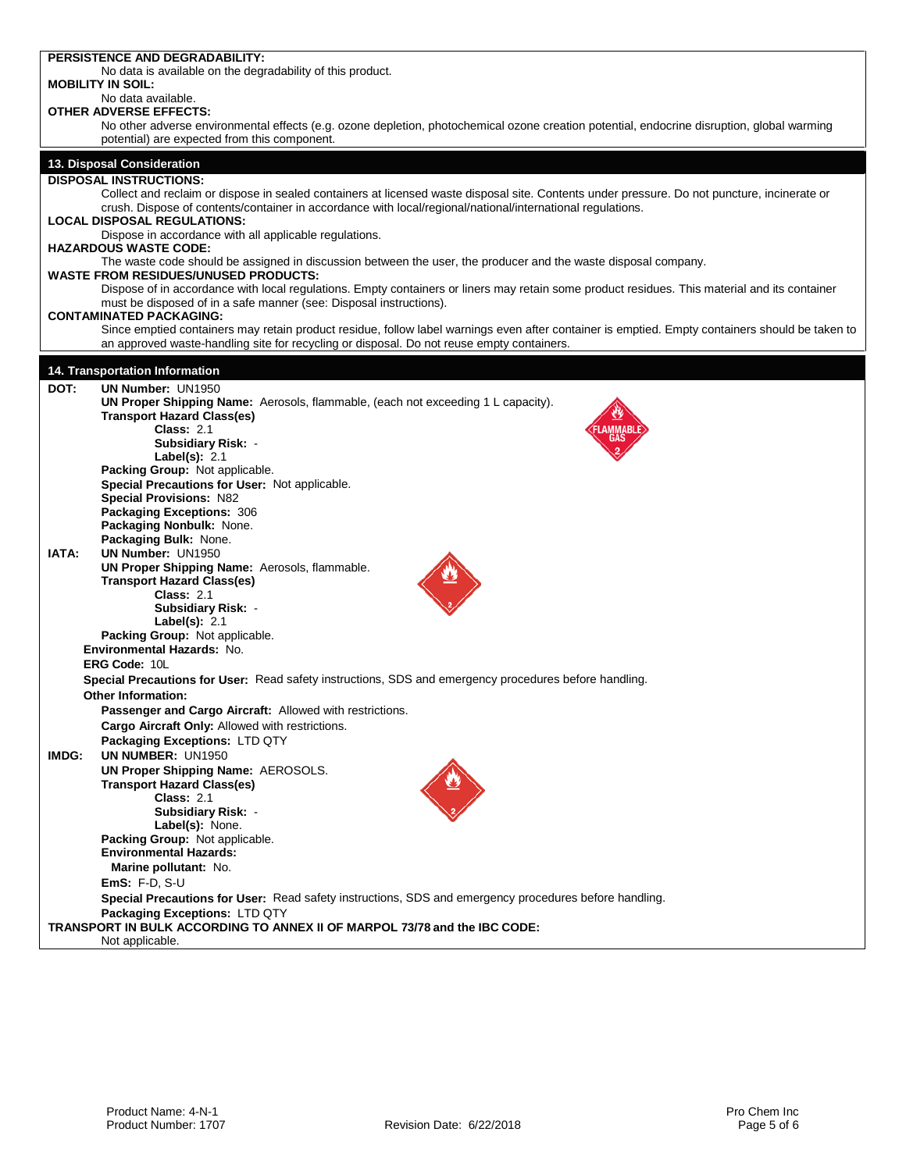|       | PERSISTENCE AND DEGRADABILITY:                                                                                                                                                                                                                             |
|-------|------------------------------------------------------------------------------------------------------------------------------------------------------------------------------------------------------------------------------------------------------------|
|       | No data is available on the degradability of this product.                                                                                                                                                                                                 |
|       | <b>MOBILITY IN SOIL:</b><br>No data available.                                                                                                                                                                                                             |
|       | OTHER ADVERSE EFFECTS:                                                                                                                                                                                                                                     |
|       | No other adverse environmental effects (e.g. ozone depletion, photochemical ozone creation potential, endocrine disruption, global warming                                                                                                                 |
|       | potential) are expected from this component.                                                                                                                                                                                                               |
|       |                                                                                                                                                                                                                                                            |
|       | 13. Disposal Consideration                                                                                                                                                                                                                                 |
|       | <b>DISPOSAL INSTRUCTIONS:</b>                                                                                                                                                                                                                              |
|       | Collect and reclaim or dispose in sealed containers at licensed waste disposal site. Contents under pressure. Do not puncture, incinerate or<br>crush. Dispose of contents/container in accordance with local/regional/national/international regulations. |
|       | <b>LOCAL DISPOSAL REGULATIONS:</b>                                                                                                                                                                                                                         |
|       | Dispose in accordance with all applicable regulations.                                                                                                                                                                                                     |
|       | <b>HAZARDOUS WASTE CODE:</b>                                                                                                                                                                                                                               |
|       | The waste code should be assigned in discussion between the user, the producer and the waste disposal company.                                                                                                                                             |
|       | <b>WASTE FROM RESIDUES/UNUSED PRODUCTS:</b>                                                                                                                                                                                                                |
|       | Dispose of in accordance with local regulations. Empty containers or liners may retain some product residues. This material and its container                                                                                                              |
|       | must be disposed of in a safe manner (see: Disposal instructions).                                                                                                                                                                                         |
|       | <b>CONTAMINATED PACKAGING:</b>                                                                                                                                                                                                                             |
|       | Since emptied containers may retain product residue, follow label warnings even after container is emptied. Empty containers should be taken to<br>an approved waste-handling site for recycling or disposal. Do not reuse empty containers.               |
|       |                                                                                                                                                                                                                                                            |
|       | 14. Transportation Information                                                                                                                                                                                                                             |
| DOT:  | <b>UN Number: UN1950</b>                                                                                                                                                                                                                                   |
|       | UN Proper Shipping Name: Aerosols, flammable, (each not exceeding 1 L capacity).                                                                                                                                                                           |
|       | <b>Transport Hazard Class(es)</b>                                                                                                                                                                                                                          |
|       | <b>Class: 2.1</b>                                                                                                                                                                                                                                          |
|       | <b>Subsidiary Risk: -</b>                                                                                                                                                                                                                                  |
|       | Label(s): $2.1$                                                                                                                                                                                                                                            |
|       | Packing Group: Not applicable.                                                                                                                                                                                                                             |
|       | Special Precautions for User: Not applicable.                                                                                                                                                                                                              |
|       | <b>Special Provisions: N82</b><br>Packaging Exceptions: 306                                                                                                                                                                                                |
|       | Packaging Nonbulk: None.                                                                                                                                                                                                                                   |
|       | Packaging Bulk: None.                                                                                                                                                                                                                                      |
| IATA: | <b>UN Number: UN1950</b>                                                                                                                                                                                                                                   |
|       | UN Proper Shipping Name: Aerosols, flammable.                                                                                                                                                                                                              |
|       | <b>Transport Hazard Class(es)</b>                                                                                                                                                                                                                          |
|       | <b>Class: 2.1</b>                                                                                                                                                                                                                                          |
|       | Subsidiary Risk: -                                                                                                                                                                                                                                         |
|       | Label(s): $2.1$                                                                                                                                                                                                                                            |
|       | Packing Group: Not applicable.                                                                                                                                                                                                                             |
|       | Environmental Hazards: No.                                                                                                                                                                                                                                 |
|       | <b>ERG Code: 10L</b>                                                                                                                                                                                                                                       |
|       | Special Precautions for User: Read safety instructions, SDS and emergency procedures before handling.                                                                                                                                                      |
|       | <b>Other Information:</b>                                                                                                                                                                                                                                  |
|       | Passenger and Cargo Aircraft: Allowed with restrictions.                                                                                                                                                                                                   |
|       | Cargo Aircraft Only: Allowed with restrictions.                                                                                                                                                                                                            |
|       | Packaging Exceptions: LTD QTY                                                                                                                                                                                                                              |
| IMDG: | UN NUMBER: UN1950                                                                                                                                                                                                                                          |
|       | <b>UN Proper Shipping Name: AEROSOLS.</b><br><b>Transport Hazard Class(es)</b>                                                                                                                                                                             |
|       | <b>Class: 2.1</b>                                                                                                                                                                                                                                          |
|       | <b>Subsidiary Risk: -</b>                                                                                                                                                                                                                                  |
|       | Label(s): None.                                                                                                                                                                                                                                            |
|       | Packing Group: Not applicable.                                                                                                                                                                                                                             |
|       | <b>Environmental Hazards:</b>                                                                                                                                                                                                                              |
|       | Marine pollutant: No.                                                                                                                                                                                                                                      |
|       | EmS: $F-D$ , $S-U$                                                                                                                                                                                                                                         |
|       | Special Precautions for User: Read safety instructions, SDS and emergency procedures before handling.                                                                                                                                                      |
|       | Packaging Exceptions: LTD QTY                                                                                                                                                                                                                              |
|       | TRANSPORT IN BULK ACCORDING TO ANNEX II OF MARPOL 73/78 and the IBC CODE:                                                                                                                                                                                  |
|       | Not applicable.                                                                                                                                                                                                                                            |